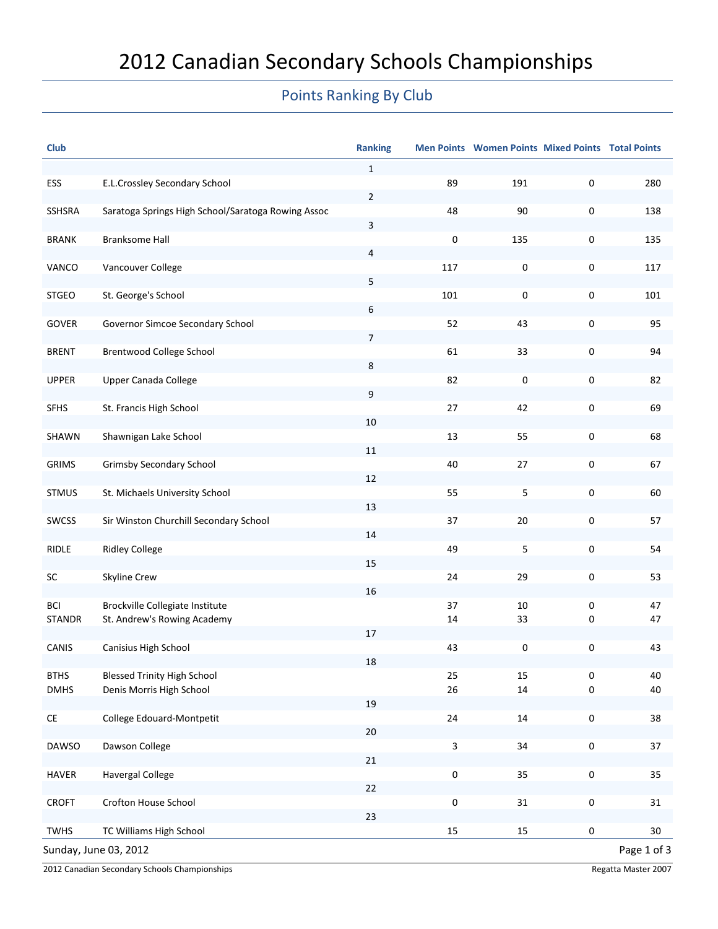## Points Ranking By Club

| <b>Club</b>                                                        |                                                    | <b>Ranking</b> |           | Men Points Women Points Mixed Points Total Points |           |             |
|--------------------------------------------------------------------|----------------------------------------------------|----------------|-----------|---------------------------------------------------|-----------|-------------|
|                                                                    |                                                    | $\mathbf{1}$   |           |                                                   |           |             |
| ESS                                                                | E.L.Crossley Secondary School                      |                | 89        | 191                                               | 0         | 280         |
| SSHSRA                                                             | Saratoga Springs High School/Saratoga Rowing Assoc | $\overline{2}$ | 48        | 90                                                | 0         | 138         |
|                                                                    |                                                    | 3              |           |                                                   |           |             |
| <b>BRANK</b>                                                       | <b>Branksome Hall</b>                              |                | 0         | 135                                               | 0         | 135         |
| VANCO                                                              | Vancouver College                                  | 4              | 117       | 0                                                 | 0         | 117         |
|                                                                    |                                                    | 5              |           |                                                   |           |             |
| <b>STGEO</b>                                                       | St. George's School                                |                | 101       | 0                                                 | 0         | 101         |
| GOVER                                                              | Governor Simcoe Secondary School                   | 6              | 52        | 43                                                | 0         | 95          |
|                                                                    |                                                    | $\overline{7}$ |           |                                                   |           |             |
| <b>BRENT</b>                                                       | Brentwood College School                           |                | 61        | 33                                                | 0         | 94          |
|                                                                    |                                                    | 8              |           |                                                   |           |             |
| <b>UPPER</b>                                                       | Upper Canada College                               | 9              | 82        | 0                                                 | 0         | 82          |
| <b>SFHS</b>                                                        | St. Francis High School                            |                | 27        | 42                                                | 0         | 69          |
|                                                                    |                                                    | 10             |           |                                                   |           |             |
| SHAWN                                                              | Shawnigan Lake School                              | 11             | 13        | 55                                                | 0         | 68          |
| <b>GRIMS</b>                                                       | <b>Grimsby Secondary School</b>                    |                | 40        | 27                                                | 0         | 67          |
|                                                                    |                                                    | 12             |           |                                                   |           |             |
| <b>STMUS</b>                                                       | St. Michaels University School                     | 13             | 55        | $\mathsf S$                                       | 0         | 60          |
| SWCSS                                                              | Sir Winston Churchill Secondary School             |                | 37        | 20                                                | 0         | 57          |
|                                                                    |                                                    | 14             |           |                                                   |           |             |
| RIDLE                                                              | <b>Ridley College</b>                              |                | 49        | 5                                                 | 0         | 54          |
| SC                                                                 | Skyline Crew                                       | 15             | 24        | 29                                                | 0         | 53          |
|                                                                    |                                                    | 16             |           |                                                   |           |             |
| <b>BCI</b>                                                         | Brockville Collegiate Institute                    |                | 37        | 10                                                | 0         | 47          |
| <b>STANDR</b>                                                      | St. Andrew's Rowing Academy                        | 17             | 14        | 33                                                | 0         | 47          |
| <b>CANIS</b>                                                       | Canisius High School                               |                | 43        | $\mathbf 0$                                       | 0         | 43          |
|                                                                    |                                                    | 18             |           |                                                   |           |             |
| <b>BTHS</b>                                                        | <b>Blessed Trinity High School</b>                 |                | 25        | 15                                                | 0         | 40          |
| <b>DMHS</b>                                                        | Denis Morris High School                           | 19             | 26        | 14                                                | 0         | 40          |
| $\mathsf{CE}% _{\mathcal{A}}\left( \mathcal{A},\mathcal{A}\right)$ | College Edouard-Montpetit                          |                | 24        | $14\,$                                            | $\pmb{0}$ | 38          |
|                                                                    |                                                    | $20\,$         |           |                                                   |           |             |
| <b>DAWSO</b>                                                       | Dawson College                                     | 21             | 3         | 34                                                | $\pmb{0}$ | 37          |
| HAVER                                                              | <b>Havergal College</b>                            |                | $\pmb{0}$ | 35                                                | $\pmb{0}$ | 35          |
|                                                                    |                                                    | 22             |           |                                                   |           |             |
| <b>CROFT</b>                                                       | Crofton House School                               |                | $\pmb{0}$ | 31                                                | $\pmb{0}$ | 31          |
| TWHS                                                               | TC Williams High School                            | 23             | 15        | 15                                                | 0         | 30          |
|                                                                    | Sunday, June 03, 2012                              |                |           |                                                   |           | Page 1 of 3 |
|                                                                    |                                                    |                |           |                                                   |           |             |

2012 Canadian Secondary Schools Championships **Regatta Master 2007** Regatta Master 2007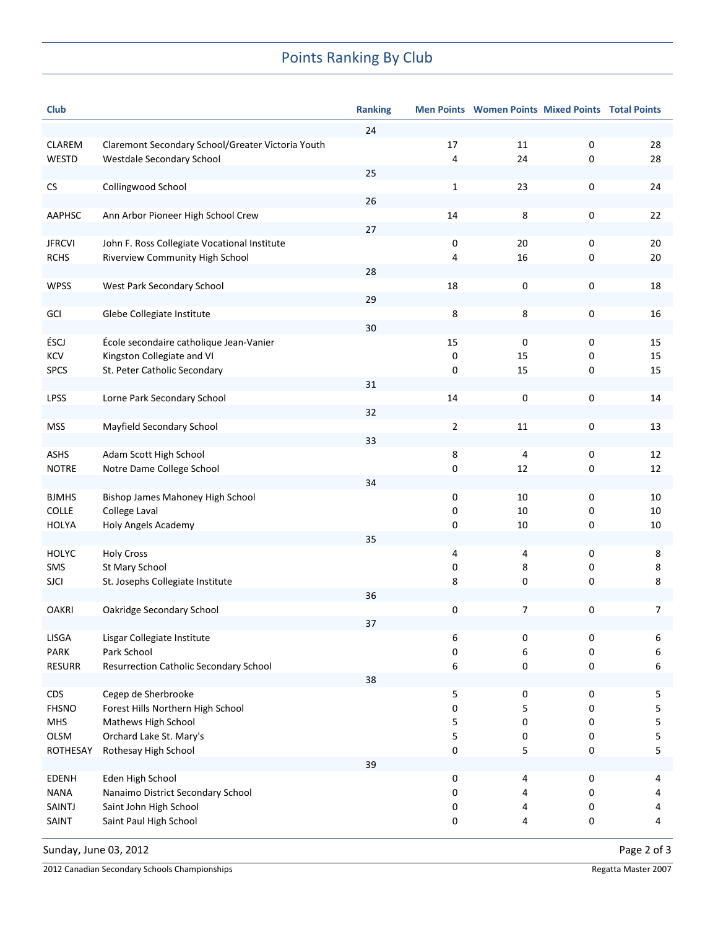## Points Ranking By Club

| <b>Club</b>   |                                                   | <b>Ranking</b> |    | Men Points Women Points Mixed Points Total Points |   |    |
|---------------|---------------------------------------------------|----------------|----|---------------------------------------------------|---|----|
|               |                                                   | 24             |    |                                                   |   |    |
| <b>CLAREM</b> | Claremont Secondary School/Greater Victoria Youth |                | 17 | 11                                                | 0 | 28 |
| <b>WESTD</b>  | Westdale Secondary School                         |                | 4  | 24                                                | 0 | 28 |
|               |                                                   | 25             |    |                                                   |   |    |
| CS            | Collingwood School                                |                | 1  | 23                                                | 0 | 24 |
|               |                                                   | 26             |    |                                                   |   |    |
| AAPHSC        | Ann Arbor Pioneer High School Crew                |                | 14 | 8                                                 | 0 | 22 |
|               |                                                   | 27             |    |                                                   |   |    |
| <b>JFRCVI</b> | John F. Ross Collegiate Vocational Institute      |                | 0  | 20                                                | 0 | 20 |
| <b>RCHS</b>   | Riverview Community High School                   |                | 4  | 16                                                | 0 | 20 |
|               |                                                   | 28             |    |                                                   |   |    |
| <b>WPSS</b>   | West Park Secondary School                        |                | 18 | 0                                                 | 0 | 18 |
|               |                                                   | 29             |    |                                                   |   |    |
| GCI           | Glebe Collegiate Institute                        |                | 8  | 8                                                 | 0 | 16 |
|               |                                                   | 30             |    |                                                   |   |    |
| ÉSCJ          | École secondaire catholique Jean-Vanier           |                | 15 | 0                                                 | 0 | 15 |
| <b>KCV</b>    | Kingston Collegiate and VI                        |                | 0  | 15                                                | 0 | 15 |
| <b>SPCS</b>   | St. Peter Catholic Secondary                      |                | 0  | 15                                                | 0 | 15 |
|               |                                                   | 31             |    |                                                   |   |    |
| <b>LPSS</b>   | Lorne Park Secondary School                       |                | 14 | 0                                                 | 0 | 14 |
|               |                                                   | 32             |    |                                                   |   |    |
| <b>MSS</b>    | Mayfield Secondary School                         |                | 2  | 11                                                | 0 | 13 |
|               |                                                   | 33             |    |                                                   |   |    |
| <b>ASHS</b>   | Adam Scott High School                            |                | 8  | 4                                                 | 0 | 12 |
| <b>NOTRE</b>  | Notre Dame College School                         |                | 0  | 12                                                | 0 | 12 |
|               |                                                   | 34             |    |                                                   |   |    |
| <b>BJMHS</b>  | Bishop James Mahoney High School                  |                | 0  | 10                                                | 0 | 10 |
| COLLE         | College Laval                                     |                | 0  | 10                                                | 0 | 10 |
| <b>HOLYA</b>  | Holy Angels Academy                               |                | 0  | 10                                                | 0 | 10 |
|               |                                                   | 35             |    |                                                   |   |    |
| <b>HOLYC</b>  | <b>Holy Cross</b>                                 |                | 4  | 4                                                 | 0 | 8  |
| SMS           | St Mary School                                    |                | 0  | 8                                                 | 0 | 8  |
| <b>SJCI</b>   | St. Josephs Collegiate Institute                  |                | 8  | 0                                                 | 0 | 8  |
|               |                                                   | 36             |    |                                                   |   |    |
| <b>OAKRI</b>  | Oakridge Secondary School                         |                | 0  | $\overline{7}$                                    | 0 | 7  |
|               |                                                   | 37             |    |                                                   |   |    |
| <b>LISGA</b>  | Lisgar Collegiate Institute                       |                | 6  | 0                                                 | 0 | 6  |
| PARK          | Park School                                       |                | 0  | 6                                                 | 0 | 6  |
| <b>RESURR</b> | Resurrection Catholic Secondary School            |                | 6  | 0                                                 | 0 | 6  |
|               |                                                   | 38             |    |                                                   |   |    |
| <b>CDS</b>    | Cegep de Sherbrooke                               |                | 5  | 0                                                 | 0 | 5  |
| <b>FHSNO</b>  | Forest Hills Northern High School                 |                | 0  | 5                                                 | 0 | 5  |
| <b>MHS</b>    | Mathews High School                               |                | 5  | 0                                                 | 0 | 5  |
| OLSM          | Orchard Lake St. Mary's                           |                | 5  | 0                                                 | 0 | 5  |
| ROTHESAY      | Rothesay High School                              |                | 0  | 5                                                 | 0 | 5  |
|               |                                                   | 39             |    |                                                   |   |    |
| <b>EDENH</b>  | Eden High School                                  |                | 0  | 4                                                 | 0 | 4  |
| <b>NANA</b>   | Nanaimo District Secondary School                 |                | 0  | 4                                                 | 0 | 4  |
| SAINTJ        | Saint John High School                            |                | 0  | 4                                                 | 0 | 4  |
| SAINT         | Saint Paul High School                            |                | 0  | 4                                                 | 0 | 4  |
|               |                                                   |                |    |                                                   |   |    |
|               |                                                   |                |    |                                                   |   |    |

Sunday, June 03, 2012 2001

2012 Canadian Secondary Schools Championships **Regatta Master 2007** Regatta Master 2007